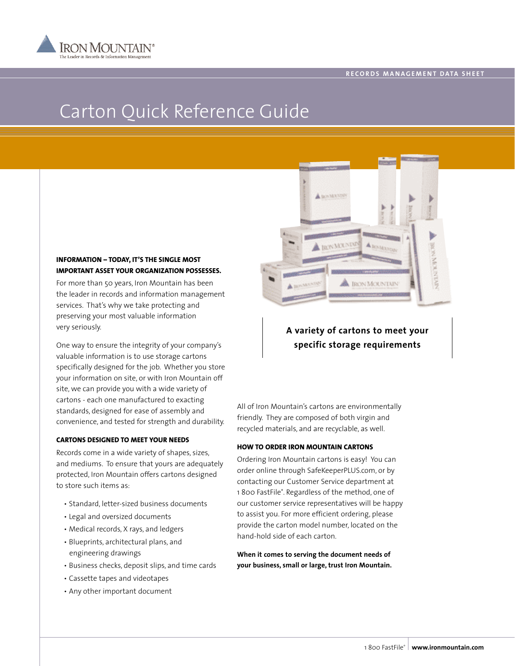

# Carton Quick Reference Guide

## **INFORMATION – TODAY, IT'S THE SINGLE MOST IMPORTANT ASSET YOUR ORGANIZATION POSSESSES.**

For more than 50 years, Iron Mountain has been the leader in records and information management services. That's why we take protecting and preserving your most valuable information very seriously.

One way to ensure the integrity of your company's valuable information is to use storage cartons specifically designed for the job. Whether you store your information on site, or with Iron Mountain off site, we can provide you with a wide variety of cartons - each one manufactured to exacting standards, designed for ease of assembly and convenience, and tested for strength and durability.

### **CARTONS DESIGNED TO MEET YOUR NEEDS**

Records come in a wide variety of shapes, sizes, and mediums. To ensure that yours are adequately protected, Iron Mountain offers cartons designed to store such items as:

- Standard, letter-sized business documents
- Legal and oversized documents
- Medical records, X rays, and ledgers
- Blueprints, architectural plans, and engineering drawings
- Business checks, deposit slips, and time cards
- Cassette tapes and videotapes
- Any other important document



## **A variety of cartons to meet your specific storage requirements**

All of Iron Mountain's cartons are environmentally friendly. They are composed of both virgin and recycled materials, and are recyclable, as well.

#### **HOW TO ORDER IRON MOUNTAIN CARTONS**

Ordering Iron Mountain cartons is easy! You can order online through SafeKeeperPLUS.com, or by contacting our Customer Service department at 1 800 FastFile®. Regardless of the method, one of our customer service representatives will be happy to assist you. For more efficient ordering, please provide the carton model number, located on the hand-hold side of each carton.

**When it comes to serving the document needs of your business, small or large, trust Iron Mountain.**